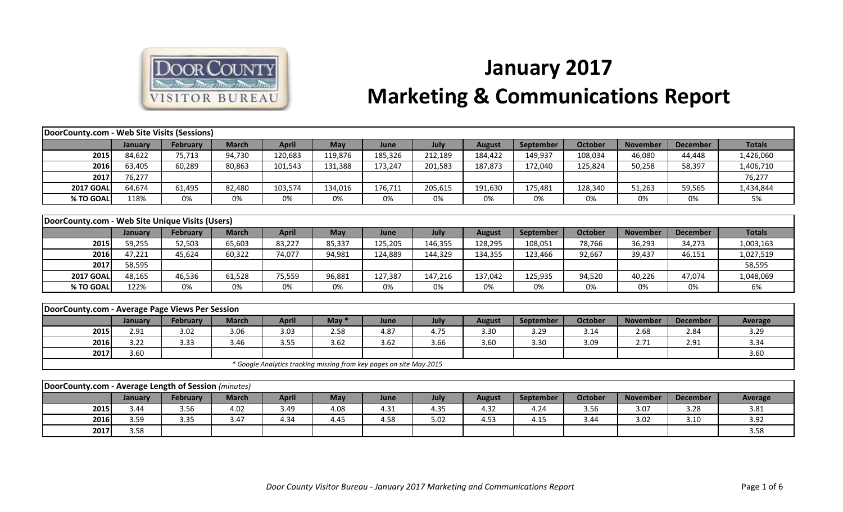

## **January 2017 Marketing & Communications Report**

| DoorCounty.com - Web Site Visits (Sessions)          |                |                 |              |              |         |                                                                     |         |               |           |                |                 |                 |                |
|------------------------------------------------------|----------------|-----------------|--------------|--------------|---------|---------------------------------------------------------------------|---------|---------------|-----------|----------------|-----------------|-----------------|----------------|
|                                                      | January        | <b>February</b> | <b>March</b> | <b>April</b> | May     | June                                                                | July    | <b>August</b> | September | <b>October</b> | <b>November</b> | <b>December</b> | <b>Totals</b>  |
| 2015                                                 | 84,622         | 75,713          | 94,730       | 120,683      | 119,876 | 185,326                                                             | 212,189 | 184,422       | 149,937   | 108,034        | 46,080          | 44,448          | 1,426,060      |
| 2016                                                 | 63,405         | 60,289          | 80,863       | 101,543      | 131,388 | 173,247                                                             | 201,583 | 187,873       | 172,040   | 125,824        | 50,258          | 58,397          | 1,406,710      |
| 2017                                                 | 76,277         |                 |              |              |         |                                                                     |         |               |           |                |                 |                 | 76,277         |
| <b>2017 GOAL</b>                                     | 64,674         | 61,495          | 82,480       | 103,574      | 134,016 | 176,711                                                             | 205,615 | 191,630       | 175,481   | 128,340        | 51,263          | 59,565          | 1,434,844      |
| % TO GOAL                                            | 118%           | 0%              | 0%           | 0%           | 0%      | 0%                                                                  | 0%      | 0%            | 0%        | 0%             | 0%              | 0%              | 5%             |
|                                                      |                |                 |              |              |         |                                                                     |         |               |           |                |                 |                 |                |
| DoorCounty.com - Web Site Unique Visits (Users)      |                |                 |              |              |         |                                                                     |         |               |           |                |                 |                 |                |
|                                                      | January        | <b>February</b> | <b>March</b> | <b>April</b> | May     | June                                                                | July    | <b>August</b> | September | <b>October</b> | <b>November</b> | <b>December</b> | <b>Totals</b>  |
| 2015                                                 | 59,255         | 52,503          | 65,603       | 83,227       | 85,337  | 125,205                                                             | 146,355 | 128,295       | 108,051   | 78,766         | 36,293          | 34,273          | 1,003,163      |
| 2016                                                 | 47,221         | 45,624          | 60,322       | 74,077       | 94,981  | 124,889                                                             | 144,329 | 134,355       | 123,466   | 92,667         | 39,437          | 46,151          | 1,027,519      |
| 2017                                                 | 58,595         |                 |              |              |         |                                                                     |         |               |           |                |                 |                 | 58,595         |
| <b>2017 GOAL</b>                                     | 48,165         | 46,536          | 61,528       | 75,559       | 96,881  | 127,387                                                             | 147,216 | 137,042       | 125,935   | 94,520         | 40,226          | 47,074          | 1,048,069      |
| % TO GOAL                                            | 122%           | 0%              | 0%           | 0%           | 0%      | 0%                                                                  | 0%      | 0%            | 0%        | 0%             | 0%              | 0%              | 6%             |
|                                                      |                |                 |              |              |         |                                                                     |         |               |           |                |                 |                 |                |
| DoorCounty.com - Average Page Views Per Session      |                |                 |              |              |         |                                                                     |         |               |           |                |                 |                 |                |
|                                                      | January        | <b>February</b> | <b>March</b> | <b>April</b> | May $*$ | June                                                                | July    | <b>August</b> | September | <b>October</b> | <b>November</b> | <b>December</b> | <b>Average</b> |
| 2015                                                 | 2.91           | 3.02            | 3.06         | 3.03         | 2.58    | 4.87                                                                | 4.75    | 3.30          | 3.29      | 3.14           | 2.68            | 2.84            | 3.29           |
| 2016                                                 | 3.22           | 3.33            | 3.46         | 3.55         | 3.62    | 3.62                                                                | 3.66    | 3.60          | 3.30      | 3.09           | 2.71            | 2.91            | 3.34           |
| 2017                                                 | 3.60           |                 |              |              |         |                                                                     |         |               |           |                |                 |                 | 3.60           |
|                                                      |                |                 |              |              |         | * Google Analytics tracking missing from key pages on site May 2015 |         |               |           |                |                 |                 |                |
|                                                      |                |                 |              |              |         |                                                                     |         |               |           |                |                 |                 |                |
| DoorCounty.com - Average Length of Session (minutes) |                |                 |              |              |         |                                                                     |         |               |           |                |                 |                 |                |
|                                                      | <b>January</b> | <b>February</b> | <b>March</b> | <b>April</b> | May     | June                                                                | July    | <b>August</b> | September | <b>October</b> | <b>November</b> | <b>December</b> | Average        |
| 2015                                                 | 3.44           | 3.56            | 4.02         | 3.49         | 4.08    | 4.31                                                                | 4.35    | 4.32          | 4.24      | 3.56           | 3.07            | 3.28            | 3.81           |
| 2016                                                 | 3.59           | 3.35            | 3.47         | 4.34         | 4.45    | 4.58                                                                | 5.02    | 4.53          | 4.15      | 3.44           | 3.02            | 3.10            | 3.92           |
| 2017                                                 | 3.58           |                 |              |              |         |                                                                     |         |               |           |                |                 |                 | 3.58           |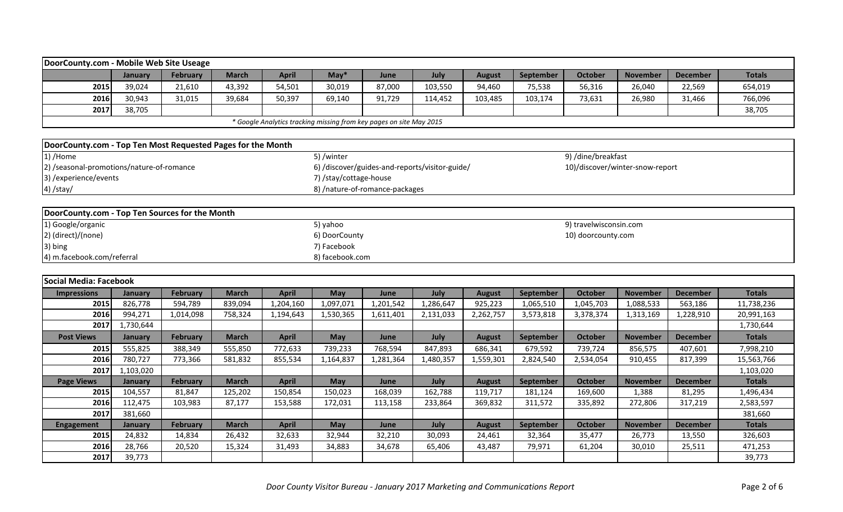| DoorCounty.com - Mobile Web Site Useage                     |                |           |              |              |                        |                                                                     |           |               |           |                        |                                 |                 |               |
|-------------------------------------------------------------|----------------|-----------|--------------|--------------|------------------------|---------------------------------------------------------------------|-----------|---------------|-----------|------------------------|---------------------------------|-----------------|---------------|
|                                                             | January        | February  | <b>March</b> | <b>April</b> | $May*$                 | June                                                                | July      | <b>August</b> | September | <b>October</b>         | <b>November</b>                 | <b>December</b> | <b>Totals</b> |
| 2015                                                        | 39,024         | 21,610    | 43,392       | 54,501       | 30,019                 | 87,000                                                              | 103,550   | 94,460        | 75,538    | 56,316                 | 26,040                          | 22,569          | 654,019       |
| 2016                                                        | 30,943         | 31,015    | 39,684       | 50,397       | 69,140                 | 91,729                                                              | 114,452   | 103,485       | 103,174   | 73,631                 | 26,980                          | 31,466          | 766,096       |
| 2017                                                        | 38,705         |           |              |              |                        |                                                                     |           |               |           |                        |                                 |                 | 38,705        |
|                                                             |                |           |              |              |                        | * Google Analytics tracking missing from key pages on site May 2015 |           |               |           |                        |                                 |                 |               |
|                                                             |                |           |              |              |                        |                                                                     |           |               |           |                        |                                 |                 |               |
| DoorCounty.com - Top Ten Most Requested Pages for the Month |                |           |              |              |                        |                                                                     |           |               |           |                        |                                 |                 |               |
| 1) /Home                                                    |                |           |              |              | 5) /winter             |                                                                     |           |               |           | 9) /dine/breakfast     |                                 |                 |               |
| 2) /seasonal-promotions/nature-of-romance                   |                |           |              |              |                        | 6) /discover/guides-and-reports/visitor-guide/                      |           |               |           |                        | 10)/discover/winter-snow-report |                 |               |
| 3) /experience/events                                       |                |           |              |              | 7) /stay/cottage-house |                                                                     |           |               |           |                        |                                 |                 |               |
| 4) /stay/                                                   |                |           |              |              |                        | 8) /nature-of-romance-packages                                      |           |               |           |                        |                                 |                 |               |
|                                                             |                |           |              |              |                        |                                                                     |           |               |           |                        |                                 |                 |               |
| DoorCounty.com - Top Ten Sources for the Month              |                |           |              |              |                        |                                                                     |           |               |           |                        |                                 |                 |               |
| 1) Google/organic                                           |                |           |              |              | 5) yahoo               |                                                                     |           |               |           | 9) travelwisconsin.com |                                 |                 |               |
| 2) (direct)/(none)                                          |                |           |              |              | 6) DoorCounty          |                                                                     |           |               |           | 10) doorcounty.com     |                                 |                 |               |
| 3) bing                                                     |                |           |              |              | 7) Facebook            |                                                                     |           |               |           |                        |                                 |                 |               |
| 4) m.facebook.com/referral                                  |                |           |              |              | 8) facebook.com        |                                                                     |           |               |           |                        |                                 |                 |               |
|                                                             |                |           |              |              |                        |                                                                     |           |               |           |                        |                                 |                 |               |
| Social Media: Facebook                                      |                |           |              |              |                        |                                                                     |           |               |           |                        |                                 |                 |               |
| <b>Impressions</b>                                          | January        | February  | <b>March</b> | <b>April</b> | May                    | June                                                                | July      | <b>August</b> | September | <b>October</b>         | <b>November</b>                 | <b>December</b> | <b>Totals</b> |
| 2015                                                        | 826,778        | 594,789   | 839,094      | 1,204,160    | 1,097,071              | 1,201,542                                                           | 1,286,647 | 925,223       | 1,065,510 | 1,045,703              | 1,088,533                       | 563,186         | 11,738,236    |
| 2016                                                        | 994,271        | 1,014,098 | 758,324      | 1,194,643    | 1,530,365              | 1,611,401                                                           | 2,131,033 | 2,262,757     | 3,573,818 | 3,378,374              | 1,313,169                       | 1,228,910       | 20,991,163    |
| 2017                                                        | 1,730,644      |           |              |              |                        |                                                                     |           |               |           |                        |                                 |                 | 1,730,644     |
| <b>Post Views</b>                                           | January        | February  | <b>March</b> | <b>April</b> | May                    | June                                                                | July      | <b>August</b> | September | <b>October</b>         | <b>November</b>                 | <b>December</b> | <b>Totals</b> |
| 2015                                                        | 555,825        | 388,349   | 555,850      | 772,633      | 739,233                | 768,594                                                             | 847,893   | 686,341       | 679,592   | 739,724                | 856,575                         | 407,601         | 7,998,210     |
| 2016                                                        | 780,727        | 773,366   | 581,832      | 855,534      | 1,164,837              | 1,281,364                                                           | 1,480,357 | 1,559,301     | 2,824,540 | 2,534,054              | 910,455                         | 817,399         | 15,563,766    |
| 2017                                                        | 1,103,020      |           |              |              |                        |                                                                     |           |               |           |                        |                                 |                 | 1,103,020     |
| <b>Page Views</b>                                           | <b>January</b> | February  | <b>March</b> | <b>April</b> | May                    | June                                                                | July      | <b>August</b> | September | <b>October</b>         | <b>November</b>                 | <b>December</b> | <b>Totals</b> |
| 2015                                                        | 104,557        | 81,847    | 125,202      | 150,854      | 150,023                | 168,039                                                             | 162,788   | 119,717       | 181,124   | 169,600                | 1,388                           | 81,295          | 1,496,434     |
| 2016                                                        | 112,475        | 103,983   | 87,177       | 153,588      | 172,031                | 113,158                                                             | 233,864   | 369,832       | 311,572   | 335,892                | 272,806                         | 317,219         | 2,583,597     |
| 2017                                                        | 381,660        |           |              |              |                        |                                                                     |           |               |           |                        |                                 |                 | 381,660       |
| <b>Engagement</b>                                           | <b>January</b> | February  | <b>March</b> | <b>April</b> | May                    | June                                                                | July      | <b>August</b> | September | <b>October</b>         | <b>November</b>                 | <b>December</b> | <b>Totals</b> |
| 2015                                                        | 24,832         | 14,834    | 26,432       | 32,633       | 32,944                 | 32,210                                                              | 30,093    | 24,461        | 32,364    | 35,477                 | 26,773                          | 13,550          | 326,603       |
| 2016                                                        | 28,766         | 20,520    | 15,324       | 31,493       | 34,883                 | 34,678                                                              | 65,406    | 43,487        | 79,971    | 61,204                 | 30,010                          | 25,511          | 471,253       |
| 2017                                                        | 39,773         |           |              |              |                        |                                                                     |           |               |           |                        |                                 |                 | 39,773        |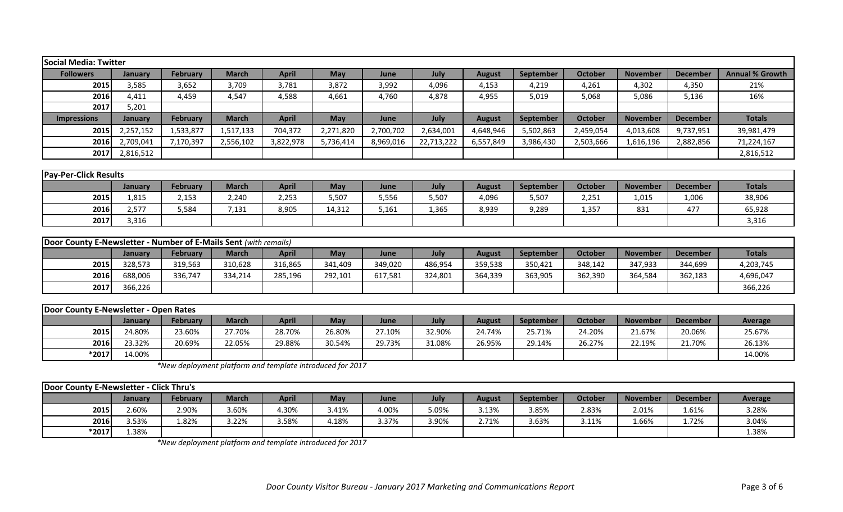| <b>Social Media: Twitter</b> |                |           |              |              |            |           |            |               |           |                |                 |                 |                        |
|------------------------------|----------------|-----------|--------------|--------------|------------|-----------|------------|---------------|-----------|----------------|-----------------|-----------------|------------------------|
| <b>Followers</b>             | January        | February  | <b>March</b> | <b>April</b> | <b>May</b> | June      | July       | <b>August</b> | September | <b>October</b> | <b>November</b> | <b>December</b> | <b>Annual % Growth</b> |
| 2015                         | 3,585          | 3,652     | 3,709        | 3,781        | 3,872      | 3,992     | 4,096      | 4,153         | 4,219     | 4,261          | 4,302           | 4,350           | 21%                    |
| 2016                         | 4,411          | 4,459     | 4,547        | 4,588        | 4,661      | 4,760     | 4,878      | 4,955         | 5,019     | 5,068          | 5,086           | 5,136           | 16%                    |
| 2017                         | 5,201          |           |              |              |            |           |            |               |           |                |                 |                 |                        |
| <b>Impressions</b>           | <b>January</b> | February  | <b>March</b> | <b>April</b> | <b>May</b> | June      | July       | <b>August</b> | September | October        | <b>November</b> | <b>December</b> | <b>Totals</b>          |
| 2015                         | 2,257,152      | 1,533,877 | 1,517,133    | 704,372      | 2,271,820  | 2,700,702 | 2,634,001  | 4,648,946     | 5,502,863 | 2,459,054      | 4,013,608       | 9,737,951       | 39,981,479             |
| 2016                         | 2,709,041      | 7,170,397 | 2,556,102    | 3,822,978    | 5,736,414  | 8,969,016 | 22,713,222 | 6,557,849     | 3,986,430 | 2,503,666      | 1,616,196       | 2,882,856       | 71,224,167             |
| 2017                         | 2,816,512      |           |              |              |            |           |            |               |           |                |                 |                 | 2,816,512              |
|                              |                |           |              |              |            |           |            |               |           |                |                 |                 |                        |
| <b>Pay-Per-Click Results</b> |                |           |              |              |            |           |            |               |           |                |                 |                 |                        |
|                              | <b>January</b> | February  | <b>March</b> | <b>April</b> | <b>May</b> | June      | July       | <b>August</b> | September | <b>October</b> | <b>November</b> | <b>December</b> | <b>Totals</b>          |
| 2015                         | 1,815          | 2,153     | 2,240        | 2,253        | 5,507      | 5,556     | 5,507      | 4,096         | 5,507     | 2,251          | 1,015           | 1,006           | 38,906                 |
| 2016                         | 2,577          | 5,584     | 7,131        | 8,905        | 14,312     | 5,161     | 1,365      | 8,939         | 9,289     | 1,357          | 831             | 477             | 65,928                 |
| 2017                         | 3,316          |           |              |              |            |           |            |               |           |                |                 |                 | 3,316                  |

| <b>Door County E-Newsletter - Number of E-Mails Sent (with remails)</b> |         |                 |              |              |         |         |         |         |                  |                |                 |                 |               |
|-------------------------------------------------------------------------|---------|-----------------|--------------|--------------|---------|---------|---------|---------|------------------|----------------|-----------------|-----------------|---------------|
|                                                                         | Januarv | <b>February</b> | <b>March</b> | <b>April</b> | May     | June    | July    | August  | <b>September</b> | <b>October</b> | <b>November</b> | <b>December</b> | <b>Totals</b> |
| 2015                                                                    | 328,573 | 319,563         | 310,628      | 316,865      | 341,409 | 349,020 | 486,954 | 359,538 | 350,421          | 348,142        | 347,933         | 344,699         | 4,203,745     |
| 2016                                                                    | 688,006 | 336.747         | 334,214      | 285,196      | 292,101 | 617,581 | 324,801 | 364,339 | 363,905          | 362,390        | 364,584         | 362,183         | 4,696,047     |
| 2017                                                                    | 366,226 |                 |              |              |         |         |         |         |                  |                |                 |                 | 366,226       |

| <b>IDoor County E-Newsletter - Open Rates</b> |         |          |        |        |        |        |        |        |           |                |                 |                 |         |
|-----------------------------------------------|---------|----------|--------|--------|--------|--------|--------|--------|-----------|----------------|-----------------|-----------------|---------|
|                                               | lanuary | February | March  | April  | May    | June   | July   | August | September | <b>October</b> | <b>November</b> | <b>December</b> | Average |
| 2015                                          | 24.80%  | 23.60%   | 27.70% | 28.70% | 26.80% | 27.10% | 32.90% | 24.74% | 25.71%    | 24.20%         | 21.67%          | 20.06%          | 25.67%  |
| 2016                                          | 23.32%  | 20.69%   | 22.05% | 29.88% | 30.54% | 29.73% | 31.08% | 26.95% | 29.14%    | 26.27%         | 22.19%          | 21.70%          | 26.13%  |
| *2017                                         | 14.00%  |          |        |        |        |        |        |        |           |                |                 |                 | 14.00%  |

*\*New deployment platform and template introduced for 2017*

| <b>Door County E-Newsletter - Click Thru's</b> |         |                 |              |              |       |       |       |        |                  |         |                 |                 |                |
|------------------------------------------------|---------|-----------------|--------------|--------------|-------|-------|-------|--------|------------------|---------|-----------------|-----------------|----------------|
|                                                | Januarv | <b>February</b> | <b>March</b> | <b>April</b> | Mav   | June  | July  | August | <b>September</b> | October | <b>November</b> | <b>December</b> | <b>Average</b> |
| 2015                                           | 2.60%   | 2.90%           | 3.60%        | 4.30%        | 3.41% | 4.00% | 5.09% | 3.13%  | 3.85%            | 2.83%   | 2.01%           | 1.61%           | 3.28%          |
| <b>2016</b>                                    | 3.53%   | 1.82%           | 3.22%        | 3.58%        | 4.18% | 3.37% | 3.90% | 2.71%  | 3.63%            | 3.11%   | 1.66%           | 1.72%           | 3.04%          |
| *2017                                          | 1.38%   |                 |              |              |       |       |       |        |                  |         |                 |                 | 1.38%          |

*\*New deployment platform and template introduced for 2017*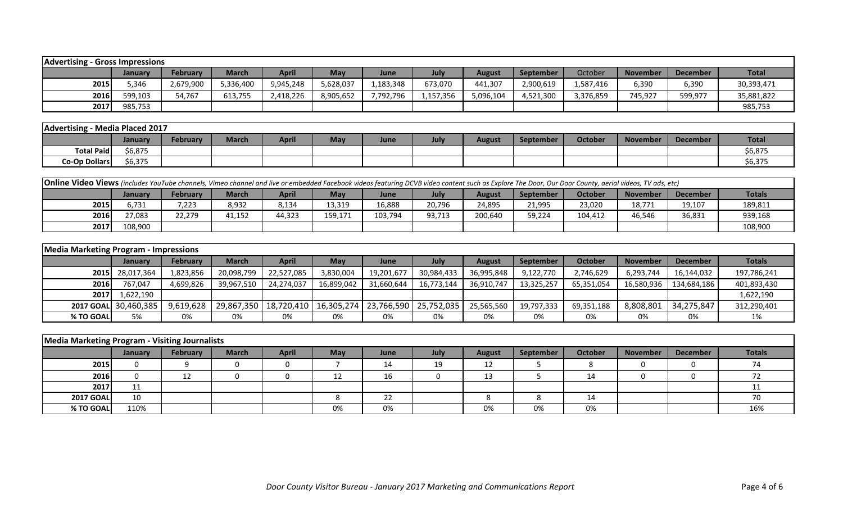| Advertising | - Gross Impressions |                 |              |           |           |           |           |           |                  |           |                 |                 |              |
|-------------|---------------------|-----------------|--------------|-----------|-----------|-----------|-----------|-----------|------------------|-----------|-----------------|-----------------|--------------|
|             | January             | <b>February</b> | <b>March</b> | April     | May       | June      | July      | August    | <b>September</b> | October   | <b>November</b> | <b>December</b> | <b>Total</b> |
| 2015        | 346.ز               | 2,679,900       | 5,336,400    | 9,945,248 | 5,628,037 | 1,183,348 | 673,070   | 441,307   | 2,900,619        | 1,587,416 | 6,390           | 6,390           | 30,393,471   |
| 2016        | 599,103             | 54,767          | 613,755      | 2,418,226 | 8,905,652 | 7,792,796 | 1,157,356 | 5,096,104 | 4,521,300        | 3,376,859 | 745,927         | 599,977         | 35,881,822   |
| 2017        | 985,753             |                 |              |           |           |           |           |           |                  |           |                 |                 | 985,753      |

| Advertising          | Media Placed 2017 |                 |              |              |     |      |      |        |                  |         |          |                 |              |
|----------------------|-------------------|-----------------|--------------|--------------|-----|------|------|--------|------------------|---------|----------|-----------------|--------------|
|                      | <b>January</b>    | <b>February</b> | <b>March</b> | <b>April</b> | May | June | July | August | <b>September</b> | October | November | <b>December</b> | <b>Total</b> |
| <b>Total Paid</b>    | 6,875م            |                 |              |              |     |      |      |        |                  |         |          |                 | \$6,875      |
| <b>Co-Op Dollars</b> | 6,375;            |                 |              |              |     |      |      |        |                  |         |          |                 | \$6,375      |

| <b>Online Video Views</b> (includes YouTube channels, Vimeo channel and live or embedded Facebook videos featuring DCVB video content such as Explore The Door, Our Door County, aerial videos, TV ads, etc) |                                                                                                                                                                                          |        |        |        |         |         |        |         |        |         |        |        |         |  |  |
|--------------------------------------------------------------------------------------------------------------------------------------------------------------------------------------------------------------|------------------------------------------------------------------------------------------------------------------------------------------------------------------------------------------|--------|--------|--------|---------|---------|--------|---------|--------|---------|--------|--------|---------|--|--|
|                                                                                                                                                                                                              | April<br><b>Totals</b><br><b>October</b><br><b>February</b><br><b>March</b><br>May<br><b>September</b><br><b>November</b><br>June<br>July<br><b>December</b><br>August<br><b>January</b> |        |        |        |         |         |        |         |        |         |        |        |         |  |  |
| 2015                                                                                                                                                                                                         | 731.ز                                                                                                                                                                                    | 7,223  | 8,932  | 8,134  | 13,319  | 16,888  | 20,796 | 24,895  | 21,995 | 23,020  | 18,771 | 19,107 | 189,811 |  |  |
| 2016                                                                                                                                                                                                         | 77,083                                                                                                                                                                                   | 22,279 | 41,152 | 44,323 | 159,171 | 103,794 | 93,713 | 200,640 | 59,224 | 104.412 | 46,546 | 36,831 | 939,168 |  |  |
| 2017                                                                                                                                                                                                         | 108,900                                                                                                                                                                                  |        |        |        |         |         |        |         |        |         |        |        | 108,900 |  |  |

| <b>Media Marketing Program - Impressions</b> |                      |                 |              |                                                                |            |            |            |               |                  |            |                 |                 |               |
|----------------------------------------------|----------------------|-----------------|--------------|----------------------------------------------------------------|------------|------------|------------|---------------|------------------|------------|-----------------|-----------------|---------------|
|                                              | <b>January</b>       | <b>February</b> | <b>March</b> | <b>April</b>                                                   | May        | June       | July       | <b>August</b> | <b>September</b> | October    | <b>November</b> | <b>December</b> | <b>Totals</b> |
|                                              | 2015 28,017,364      | 1,823,856       | 20,098,799   | 22,527,085                                                     | 3,830,004  | 19,201,677 | 30,984,433 | 36,995,848    | 9,122,770        | 2,746,629  | 6,293,744       | 16,144,032      | 197,786,241   |
| 2016                                         | 767,047              | 4,699,826       | 39,967,510   | 24,274,037                                                     | 16,899,042 | 31,660,644 | 16,773,144 | 36,910,747    | 13,325,257       | 65,351,054 | 16,580,936      | 134,684,186     | 401,893,430   |
| 2017                                         | 1,622,190            |                 |              |                                                                |            |            |            |               |                  |            |                 |                 | 1,622,190     |
|                                              | 2017 GOAL 30,460,385 | 9,619,628       |              | 29,867,350   18,720,410   16,305,274   23,766,590   25,752,035 |            |            |            | 25,565,560    | 19,797,333       | 69,351,188 | 8,808,801       | 34,275,847      | 312,290,401   |
| % TO GOAL                                    | 5%                   | 0%              | 0%           | 0%                                                             | 0%         | 0%         | 0%         | 0%            | 0%               | 0%         | 0%              | 0%              | 1%            |

| Media Marketing Program - Visiting Journalists |         |          |              |              |            |      |      |               |           |         |                 |          |               |
|------------------------------------------------|---------|----------|--------------|--------------|------------|------|------|---------------|-----------|---------|-----------------|----------|---------------|
|                                                | January | February | <b>March</b> | <b>April</b> | <b>May</b> | June | July | <b>August</b> | September | October | <b>November</b> | December | <b>Totals</b> |
| 2015                                           |         |          |              |              |            | 14   | 19   | 12            |           |         | 0               |          | 71            |
| 2016                                           |         | 12<br>∸∸ |              |              |            | 16   |      | 13            |           | 14      |                 |          |               |
| 2017                                           | 11      |          |              |              |            |      |      |               |           |         |                 |          |               |
| <b>2017 GOAL</b>                               | 10      |          |              |              |            | 22   |      |               |           | 14      |                 |          | 70            |
| % TO GOAL                                      | 110%    |          |              |              | 0%         | 0%   |      | 0%            | 0%        | 0%      |                 |          | 16%           |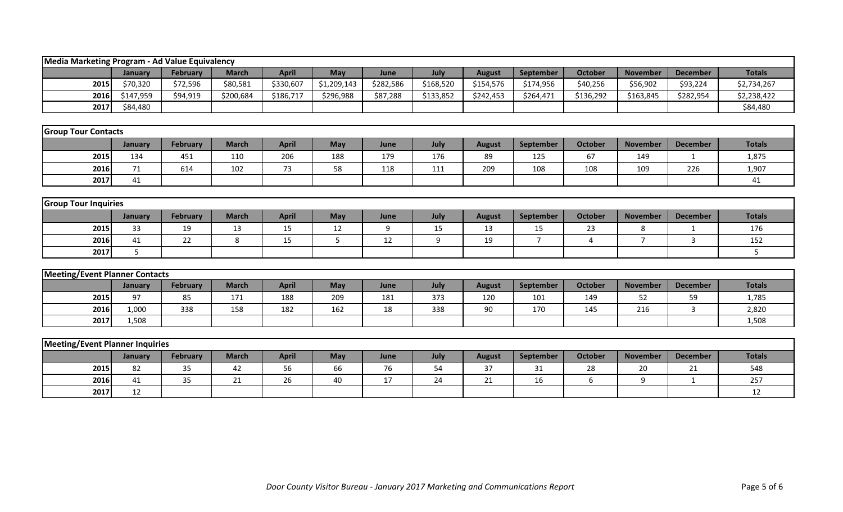| Media Marketing Program - Ad Value Equivalency |           |                 |              |              |             |           |           |               |                |                |                 |                 |                |
|------------------------------------------------|-----------|-----------------|--------------|--------------|-------------|-----------|-----------|---------------|----------------|----------------|-----------------|-----------------|----------------|
|                                                | January   | <b>February</b> | <b>March</b> | <b>April</b> | May         | June      | July      | <b>August</b> | September      | <b>October</b> | <b>November</b> | <b>December</b> | <b>Totals</b>  |
| 2015                                           | \$70,320  | \$72,596        | \$80,581     | \$330,607    | \$1,209,143 | \$282,586 | \$168,520 | \$154,576     | \$174,956      | \$40,256       | \$56,902        | \$93,224        | \$2,734,267    |
| 2016                                           | \$147,959 | \$94,919        | \$200,684    | \$186,717    | \$296,988   | \$87,288  | \$133,852 | \$242,453     | \$264,471      | \$136,292      | \$163,845       | \$282,954       | \$2,238,422    |
| 2017                                           | \$84,480  |                 |              |              |             |           |           |               |                |                |                 |                 | \$84,480       |
|                                                |           |                 |              |              |             |           |           |               |                |                |                 |                 |                |
| <b>Group Tour Contacts</b>                     |           |                 |              |              |             |           |           |               |                |                |                 |                 |                |
|                                                | January   | February        | <b>March</b> | <b>April</b> | May         | June      | July      | <b>August</b> | September      | <b>October</b> | <b>November</b> | <b>December</b> | <b>Totals</b>  |
| 2015                                           | 134       | 451             | 110          | 206          | 188         | 179       | 176       | 89            | 125            | 67             | 149             | $\mathbf{1}$    | 1,875          |
| 2016                                           | 71        | 614             | 102          | 73           | 58          | 118       | 111       | 209           | 108            | 108            | 109             | 226             | 1,907          |
| 2017                                           | 41        |                 |              |              |             |           |           |               |                |                |                 |                 | 41             |
|                                                |           |                 |              |              |             |           |           |               |                |                |                 |                 |                |
| <b>Group Tour Inquiries</b>                    |           |                 |              |              |             |           |           |               |                |                |                 |                 |                |
|                                                | January   | February        | <b>March</b> | <b>April</b> | May         | June      | July      | <b>August</b> | September      | <b>October</b> | <b>November</b> | <b>December</b> | <b>Totals</b>  |
| 2015                                           | 33        | 19              | 13           | 15           | 12          | 9         | 15        | 13            | 15             | 23             | 8               |                 | 176            |
| 2016                                           | 41        | 22              | 8            | 15           | 5           | 12        | 9         | 19            | $\overline{7}$ | $\overline{4}$ | $\overline{7}$  | $\overline{3}$  | 152            |
| 2017                                           | 5         |                 |              |              |             |           |           |               |                |                |                 |                 | 5 <sup>1</sup> |
|                                                |           |                 |              |              |             |           |           |               |                |                |                 |                 |                |
| <b>Meeting/Event Planner Contacts</b>          |           |                 |              |              |             |           |           |               |                |                |                 |                 |                |
|                                                | January   | February        | <b>March</b> | <b>April</b> | May         | June      | July      | <b>August</b> | September      | <b>October</b> | <b>November</b> | <b>December</b> | <b>Totals</b>  |
| 2015                                           | 97        | 85              | 171          | 188          | 209         | 181       | 373       | 120           | 101            | 149            | 52              | 59              | 1,785          |
| 2016                                           | 1,000     | 338             | 158          | 182          | 162         | 18        | 338       | 90            | 170            | 145            | 216             | 3               | 2,820          |
| 2017                                           | 1,508     |                 |              |              |             |           |           |               |                |                |                 |                 | 1,508          |
|                                                |           |                 |              |              |             |           |           |               |                |                |                 |                 |                |
| Meeting/Event Planner Inquiries                |           |                 |              |              |             |           |           |               |                |                |                 |                 |                |
|                                                | January   | February        | <b>March</b> | <b>April</b> | May         | June      | July      | <b>August</b> | September      | <b>October</b> | <b>November</b> | <b>December</b> | <b>Totals</b>  |
| 2015                                           | 82        | 35              | 42           | 56           | 66          | 76        | 54        | 37            | 31             | 28             | 20              | 21              | 548            |
| 2016                                           | 41        | 35              | 21           | 26           | 40          | 17        | 24        | 21            | 16             | 6              | 9               | $\mathbf{1}$    | 257            |
| 2017                                           | 12        |                 |              |              |             |           |           |               |                |                |                 |                 | 12             |